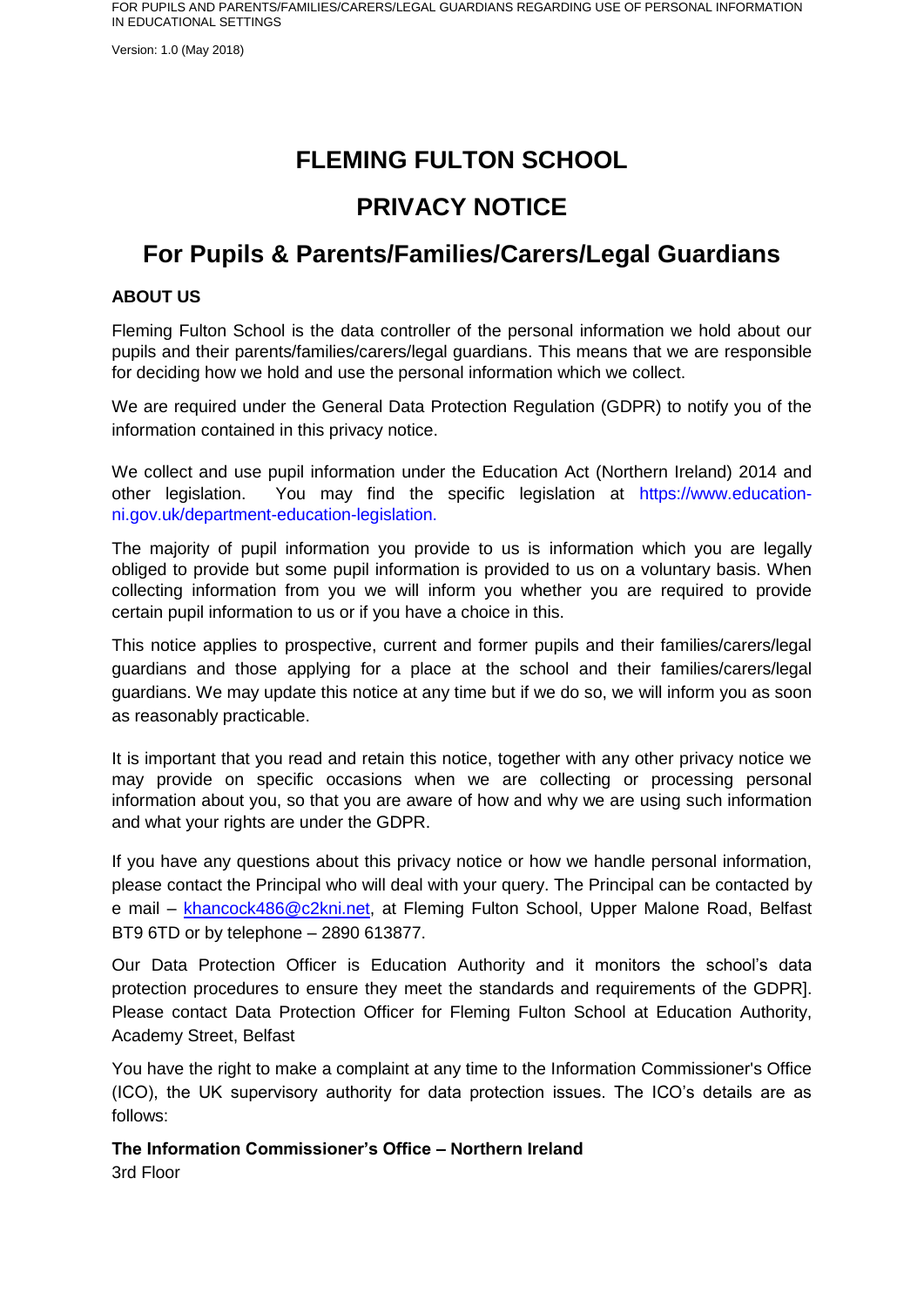Version: 1.0 (May 2018)

# **FLEMING FULTON SCHOOL**

# **PRIVACY NOTICE**

# **For Pupils & Parents/Families/Carers/Legal Guardians**

# **ABOUT US**

Fleming Fulton School is the data controller of the personal information we hold about our pupils and their parents/families/carers/legal guardians. This means that we are responsible for deciding how we hold and use the personal information which we collect.

We are required under the General Data Protection Regulation (GDPR) to notify you of the information contained in this privacy notice.

We collect and use pupil information under the Education Act (Northern Ireland) 2014 and other legislation. You may find the specific legislation at https://www.educationni.gov.uk/department-education-legislation.

The majority of pupil information you provide to us is information which you are legally obliged to provide but some pupil information is provided to us on a voluntary basis. When collecting information from you we will inform you whether you are required to provide certain pupil information to us or if you have a choice in this.

This notice applies to prospective, current and former pupils and their families/carers/legal guardians and those applying for a place at the school and their families/carers/legal guardians. We may update this notice at any time but if we do so, we will inform you as soon as reasonably practicable.

It is important that you read and retain this notice, together with any other privacy notice we may provide on specific occasions when we are collecting or processing personal information about you, so that you are aware of how and why we are using such information and what your rights are under the GDPR.

If you have any questions about this privacy notice or how we handle personal information, please contact the Principal who will deal with your query. The Principal can be contacted by e mail – [khancock486@c2kni.net,](mailto:khancock486@c2kni.net) at Fleming Fulton School, Upper Malone Road, Belfast BT9 6TD or by telephone – 2890 613877.

Our Data Protection Officer is Education Authority and it monitors the school's data protection procedures to ensure they meet the standards and requirements of the GDPR]. Please contact Data Protection Officer for Fleming Fulton School at Education Authority, Academy Street, Belfast

You have the right to make a complaint at any time to the Information Commissioner's Office (ICO), the UK supervisory authority for data protection issues. The ICO's details are as follows:

**The Information Commissioner's Office – Northern Ireland** 3rd Floor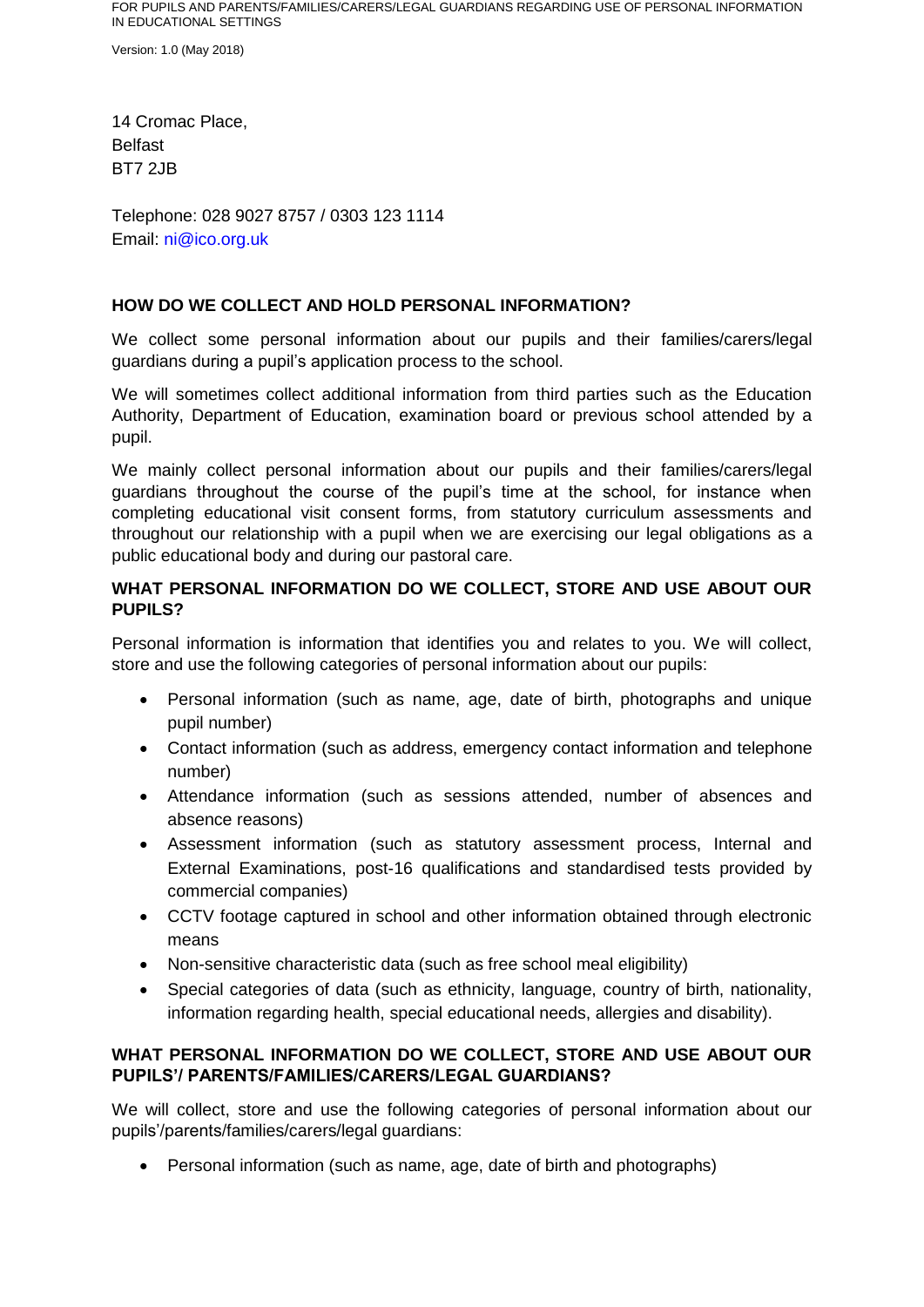Version: 1.0 (May 2018)

14 Cromac Place, Belfast BT7 2JB

Telephone: 028 9027 8757 / 0303 123 1114 Email: ni@ico.org.uk

## **HOW DO WE COLLECT AND HOLD PERSONAL INFORMATION?**

We collect some personal information about our pupils and their families/carers/legal guardians during a pupil's application process to the school.

We will sometimes collect additional information from third parties such as the Education Authority, Department of Education, examination board or previous school attended by a pupil.

We mainly collect personal information about our pupils and their families/carers/legal guardians throughout the course of the pupil's time at the school, for instance when completing educational visit consent forms, from statutory curriculum assessments and throughout our relationship with a pupil when we are exercising our legal obligations as a public educational body and during our pastoral care.

# **WHAT PERSONAL INFORMATION DO WE COLLECT, STORE AND USE ABOUT OUR PUPILS?**

Personal information is information that identifies you and relates to you. We will collect, store and use the following categories of personal information about our pupils:

- Personal information (such as name, age, date of birth, photographs and unique pupil number)
- Contact information (such as address, emergency contact information and telephone number)
- Attendance information (such as sessions attended, number of absences and absence reasons)
- Assessment information (such as statutory assessment process, Internal and External Examinations, post-16 qualifications and standardised tests provided by commercial companies)
- CCTV footage captured in school and other information obtained through electronic means
- Non-sensitive characteristic data (such as free school meal eligibility)
- Special categories of data (such as ethnicity, language, country of birth, nationality, information regarding health, special educational needs, allergies and disability).

# **WHAT PERSONAL INFORMATION DO WE COLLECT, STORE AND USE ABOUT OUR PUPILS'/ PARENTS/FAMILIES/CARERS/LEGAL GUARDIANS?**

We will collect, store and use the following categories of personal information about our pupils'/parents/families/carers/legal guardians:

Personal information (such as name, age, date of birth and photographs)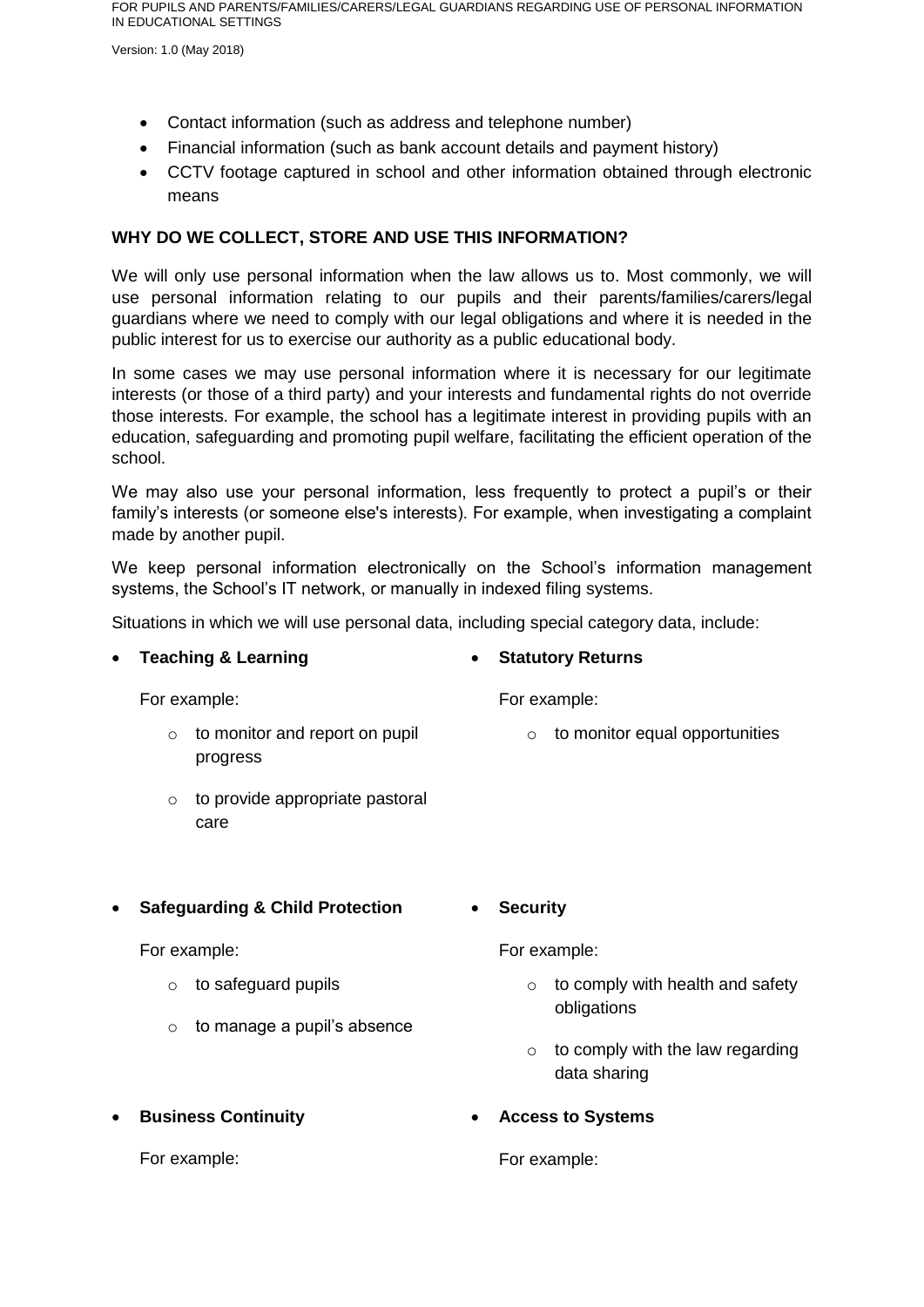Version: 1.0 (May 2018)

- Contact information (such as address and telephone number)
- Financial information (such as bank account details and payment history)
- CCTV footage captured in school and other information obtained through electronic means

# **WHY DO WE COLLECT, STORE AND USE THIS INFORMATION?**

We will only use personal information when the law allows us to. Most commonly, we will use personal information relating to our pupils and their parents/families/carers/legal guardians where we need to comply with our legal obligations and where it is needed in the public interest for us to exercise our authority as a public educational body.

In some cases we may use personal information where it is necessary for our legitimate interests (or those of a third party) and your interests and fundamental rights do not override those interests. For example, the school has a legitimate interest in providing pupils with an education, safeguarding and promoting pupil welfare, facilitating the efficient operation of the school.

We may also use your personal information, less frequently to protect a pupil's or their family's interests (or someone else's interests). For example, when investigating a complaint made by another pupil.

We keep personal information electronically on the School's information management systems, the School's IT network, or manually in indexed filing systems.

Situations in which we will use personal data, including special category data, include:

#### **Teaching & Learning**

**Statutory Returns**

For example:

- o to monitor and report on pupil progress
- o to provide appropriate pastoral care
- **Safeguarding & Child Protection**

For example:

- o to safeguard pupils
- $\circ$  to manage a pupil's absence

For example:

- $\circ$  to comply with health and safety obligations
- $\circ$  to comply with the law regarding data sharing
- **Access to Systems**

For example:

For example:

**Business Continuity** 

For example:

- o to monitor equal opportunities
- 
- 

**Security**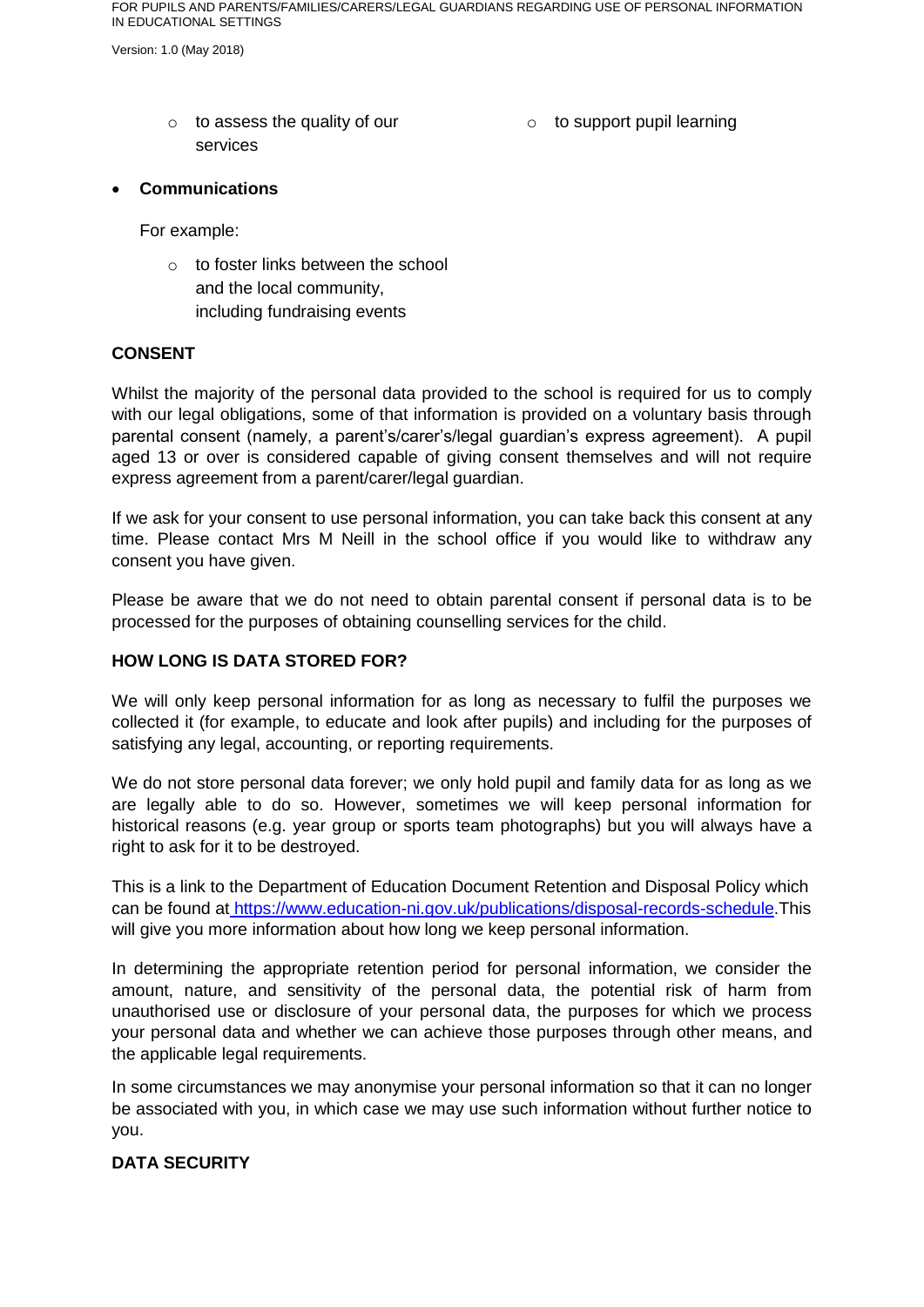Version: 1.0 (May 2018)

- o to assess the quality of our services
- o to support pupil learning

#### **Communications**

For example:

o to foster links between the school and the local community, including fundraising events

#### **CONSENT**

Whilst the majority of the personal data provided to the school is required for us to comply with our legal obligations, some of that information is provided on a voluntary basis through parental consent (namely, a parent's/carer's/legal guardian's express agreement). A pupil aged 13 or over is considered capable of giving consent themselves and will not require express agreement from a parent/carer/legal guardian.

If we ask for your consent to use personal information, you can take back this consent at any time. Please contact Mrs M Neill in the school office if you would like to withdraw any consent you have given.

Please be aware that we do not need to obtain parental consent if personal data is to be processed for the purposes of obtaining counselling services for the child.

### **HOW LONG IS DATA STORED FOR?**

We will only keep personal information for as long as necessary to fulfil the purposes we collected it (for example, to educate and look after pupils) and including for the purposes of satisfying any legal, accounting, or reporting requirements.

We do not store personal data forever; we only hold pupil and family data for as long as we are legally able to do so. However, sometimes we will keep personal information for historical reasons (e.g. year group or sports team photographs) but you will always have a right to ask for it to be destroyed.

This is a link to the Department of Education Document Retention and Disposal Policy which can be found at [https://www.education-ni.gov.uk/publications/disposal-records-schedule.](https://www.education-ni.gov.uk/publications/disposal-records-schedule)This will give you more information about how long we keep personal information.

In determining the appropriate retention period for personal information, we consider the amount, nature, and sensitivity of the personal data, the potential risk of harm from unauthorised use or disclosure of your personal data, the purposes for which we process your personal data and whether we can achieve those purposes through other means, and the applicable legal requirements.

In some circumstances we may anonymise your personal information so that it can no longer be associated with you, in which case we may use such information without further notice to you.

## **DATA SECURITY**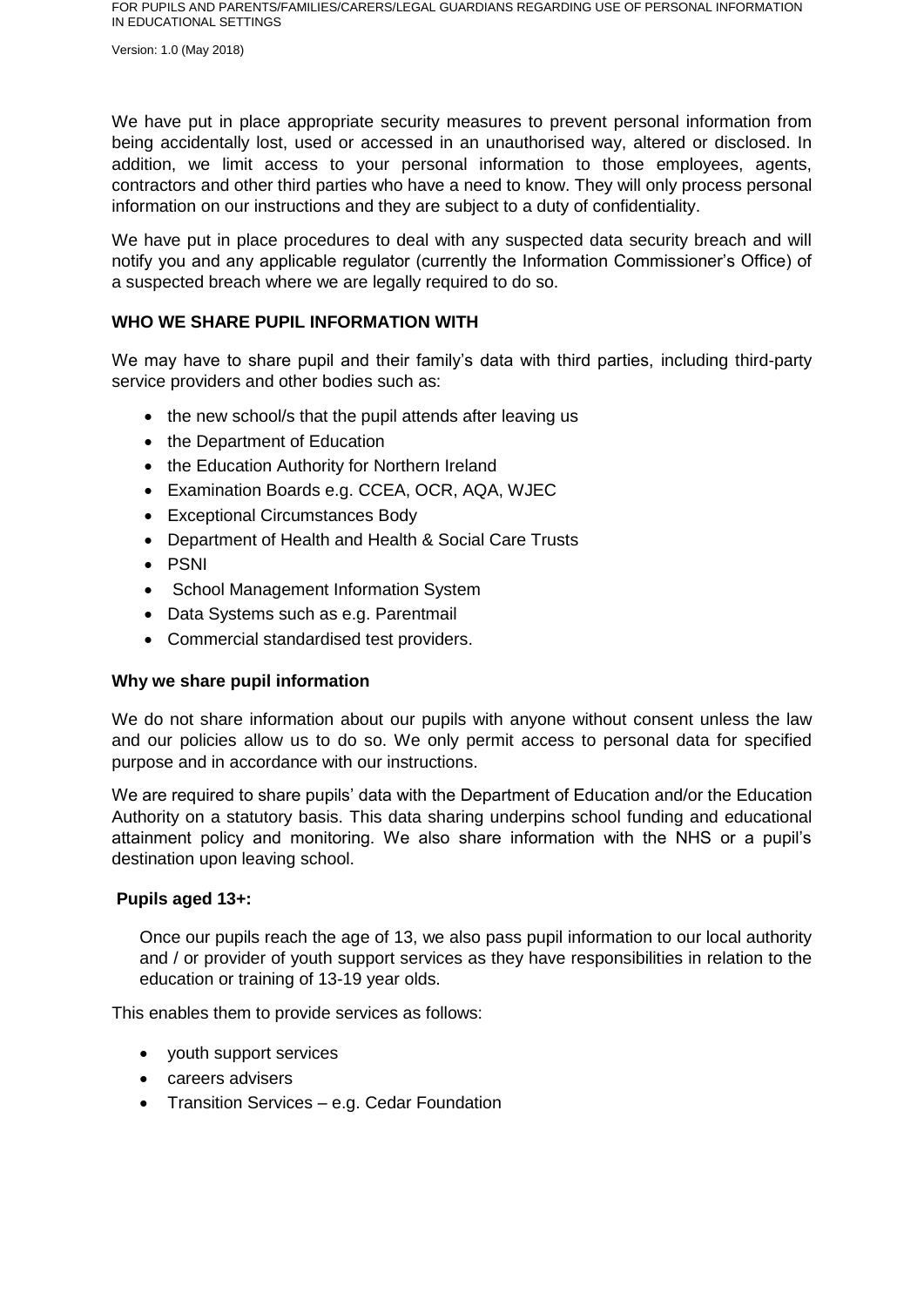Version: 1.0 (May 2018)

We have put in place appropriate security measures to prevent personal information from being accidentally lost, used or accessed in an unauthorised way, altered or disclosed. In addition, we limit access to your personal information to those employees, agents, contractors and other third parties who have a need to know. They will only process personal information on our instructions and they are subject to a duty of confidentiality.

We have put in place procedures to deal with any suspected data security breach and will notify you and any applicable regulator (currently the Information Commissioner's Office) of a suspected breach where we are legally required to do so.

#### **WHO WE SHARE PUPIL INFORMATION WITH**

We may have to share pupil and their family's data with third parties, including third-party service providers and other bodies such as:

- the new school/s that the pupil attends after leaving us
- the Department of Education
- the Education Authority for Northern Ireland
- Examination Boards e.g. CCEA, OCR, AQA, WJEC
- Exceptional Circumstances Body
- Department of Health and Health & Social Care Trusts
- PSNI
- School Management Information System
- Data Systems such as e.g. Parentmail
- Commercial standardised test providers.

#### **Why we share pupil information**

We do not share information about our pupils with anyone without consent unless the law and our policies allow us to do so. We only permit access to personal data for specified purpose and in accordance with our instructions.

We are required to share pupils' data with the Department of Education and/or the Education Authority on a statutory basis. This data sharing underpins school funding and educational attainment policy and monitoring. We also share information with the NHS or a pupil's destination upon leaving school.

#### **Pupils aged 13+:**

Once our pupils reach the age of 13, we also pass pupil information to our local authority and / or provider of youth support services as they have responsibilities in relation to the education or training of 13-19 year olds.

This enables them to provide services as follows:

- vouth support services
- careers advisers
- Transition Services e.g. Cedar Foundation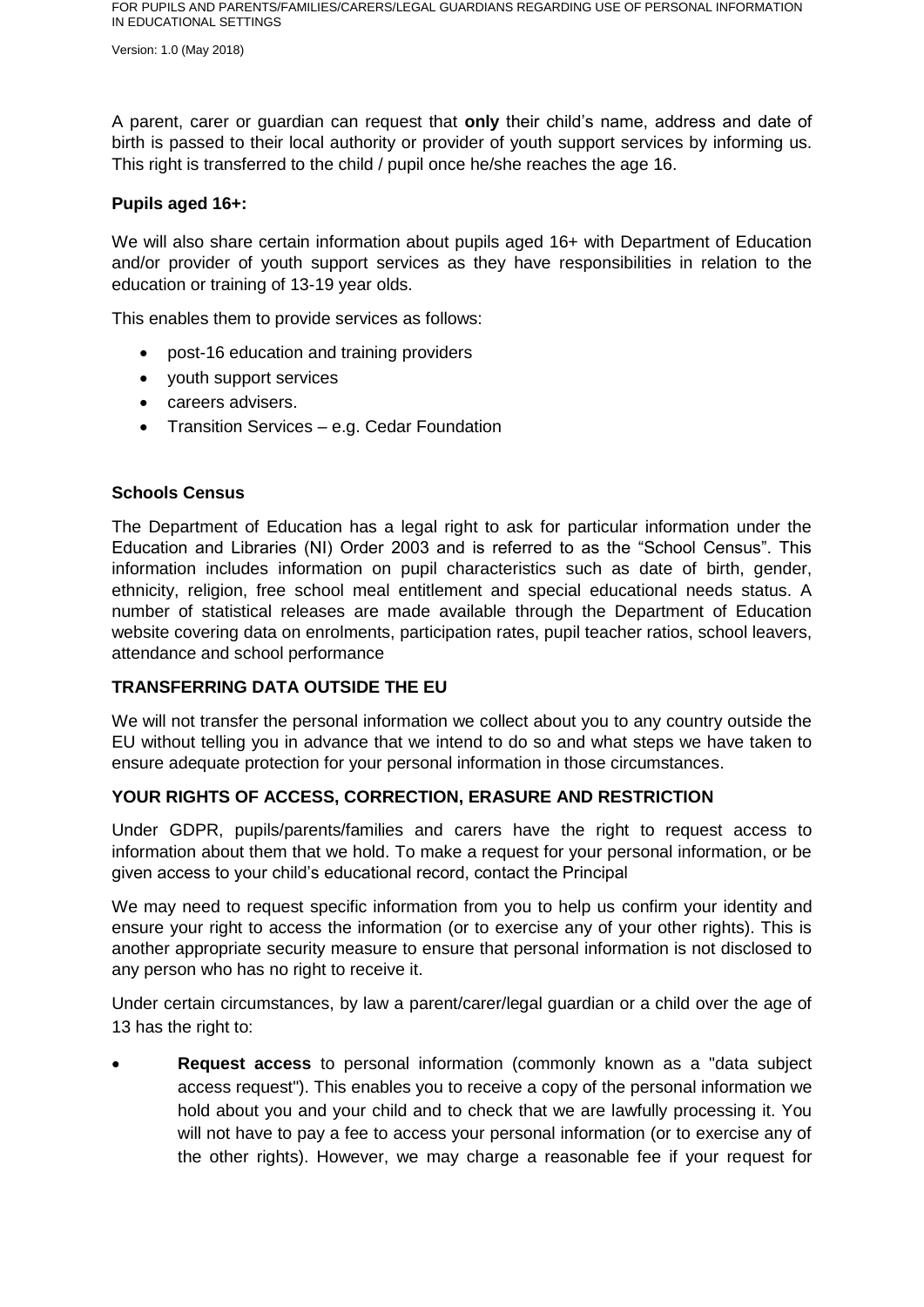Version: 1.0 (May 2018)

A parent, carer or guardian can request that **only** their child's name, address and date of birth is passed to their local authority or provider of youth support services by informing us. This right is transferred to the child / pupil once he/she reaches the age 16.

### **Pupils aged 16+:**

We will also share certain information about pupils aged 16+ with Department of Education and/or provider of youth support services as they have responsibilities in relation to the education or training of 13-19 year olds.

This enables them to provide services as follows:

- post-16 education and training providers
- youth support services
- careers advisers.
- Transition Services e.g. Cedar Foundation

## **Schools Census**

The Department of Education has a legal right to ask for particular information under the Education and Libraries (NI) Order 2003 and is referred to as the "School Census". This information includes information on pupil characteristics such as date of birth, gender, ethnicity, religion, free school meal entitlement and special educational needs status. A number of statistical releases are made available through the Department of Education website covering data on enrolments, participation rates, pupil teacher ratios, school leavers, attendance and school performance

## **TRANSFERRING DATA OUTSIDE THE EU**

We will not transfer the personal information we collect about you to any country outside the EU without telling you in advance that we intend to do so and what steps we have taken to ensure adequate protection for your personal information in those circumstances.

## **YOUR RIGHTS OF ACCESS, CORRECTION, ERASURE AND RESTRICTION**

Under GDPR, pupils/parents/families and carers have the right to request access to information about them that we hold. To make a request for your personal information, or be given access to your child's educational record, contact the Principal

We may need to request specific information from you to help us confirm your identity and ensure your right to access the information (or to exercise any of your other rights). This is another appropriate security measure to ensure that personal information is not disclosed to any person who has no right to receive it.

Under certain circumstances, by law a parent/carer/legal guardian or a child over the age of 13 has the right to:

 **Request access** to personal information (commonly known as a "data subject access request"). This enables you to receive a copy of the personal information we hold about you and your child and to check that we are lawfully processing it. You will not have to pay a fee to access your personal information (or to exercise any of the other rights). However, we may charge a reasonable fee if your request for